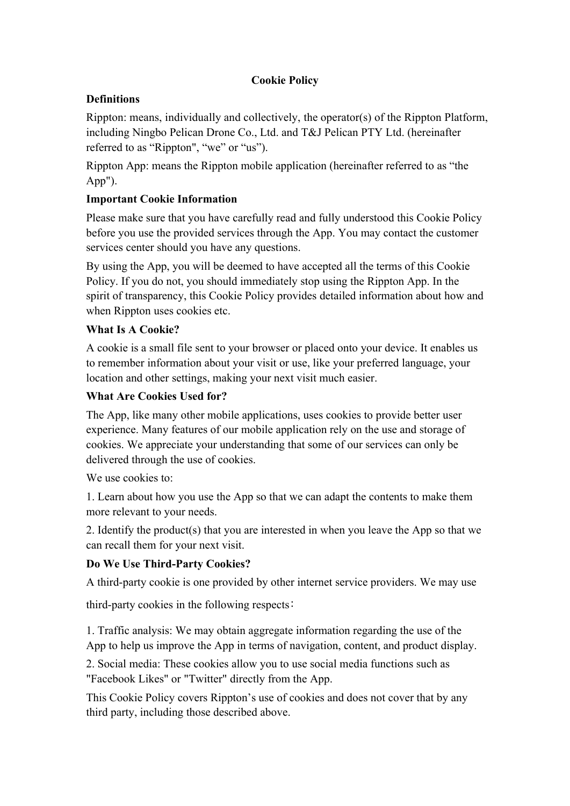# **Cookie Policy**

### **Definitions**

Rippton: means, individually and collectively, the operator(s) of the Rippton Platform, including Ningbo Pelican Drone Co., Ltd. and T&J Pelican PTY Ltd. (hereinafter referred to as "Rippton", "we" or "us").<br>Rippton App: means the Rippton mobile application (hereinafter referred to as "the

App").

#### **Important Cookie Information**

Please make sure that you have carefully read and fully understood this Cookie Policy before you use the provided services through the App. You may contact the customer services center should you have any questions.

By using the App, you will be deemed to have accepted all the terms of this Cookie Policy. If you do not, you should immediately stop using the Rippton App. In the spirit of transparency, this Cookie Policy provides detailed information about how and when Rippton uses cookies etc.

#### **What Is A Cookie?**

A cookie is a small file sent to your browser or placed onto your device. It enables us to remember information about your visit or use, like your preferred language, your location and other settings, making your next visit much easier.

# **What Are Cookies Used for?**

The App, like many other mobile applications, uses cookies to provide better user experience. Many features of our mobile application rely on the use and storage of cookies. We appreciate your understanding that some of our services can only be delivered through the use of cookies.

We use cookies to:

1. Learn about how you use the App so that we can adapt the contents to make them more relevant to your needs.

2. Identify the product(s) that you are interested in when you leave the App so that we can recall them for your next visit.

# **Do We Use Third-Party Cookies?**

A third-party cookie is one provided by other internet service providers. We may use

third-party cookies in the following respects:

1. Traffic analysis: We may obtain aggregate information regarding the use of the App to help us improve the App in terms of navigation, content, and product display.

2. Social media: These cookies allow you to use social media functions such as "Facebook Likes" or "Twitter" directly from the App.

This Cookie Policy covers Rippton's use of cookies and doesnot cover that by any third party, including those described above.